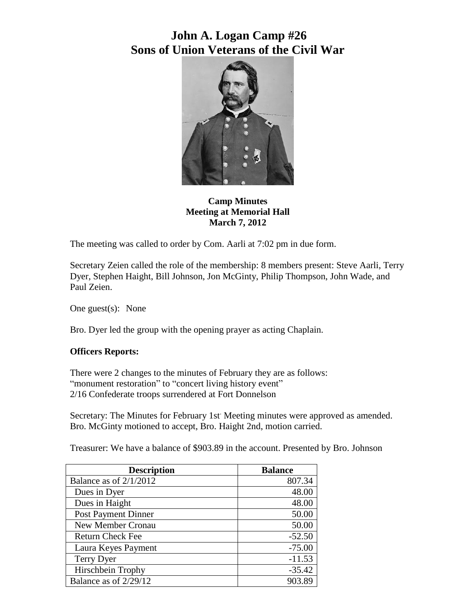

**Camp Minutes Meeting at Memorial Hall March 7, 2012**

The meeting was called to order by Com. Aarli at 7:02 pm in due form.

Secretary Zeien called the role of the membership: 8 members present: Steve Aarli, Terry Dyer, Stephen Haight, Bill Johnson, Jon McGinty, Philip Thompson, John Wade, and Paul Zeien.

One guest(s): None

Bro. Dyer led the group with the opening prayer as acting Chaplain.

### **Officers Reports:**

There were 2 changes to the minutes of February they are as follows: "monument restoration" to "concert living history event" 2/16 Confederate troops surrendered at Fort Donnelson

Secretary: The Minutes for February 1st. Meeting minutes were approved as amended. Bro. McGinty motioned to accept, Bro. Haight 2nd, motion carried.

Treasurer: We have a balance of \$903.89 in the account. Presented by Bro. Johnson

| <b>Description</b>         | <b>Balance</b> |
|----------------------------|----------------|
| Balance as of $2/1/2012$   | 807.34         |
| Dues in Dyer               | 48.00          |
| Dues in Haight             | 48.00          |
| <b>Post Payment Dinner</b> | 50.00          |
| <b>New Member Cronau</b>   | 50.00          |
| <b>Return Check Fee</b>    | $-52.50$       |
| Laura Keyes Payment        | $-75.00$       |
| Terry Dyer                 | $-11.53$       |
| Hirschbein Trophy          | $-35.42$       |
| Balance as of 2/29/12      | 903.89         |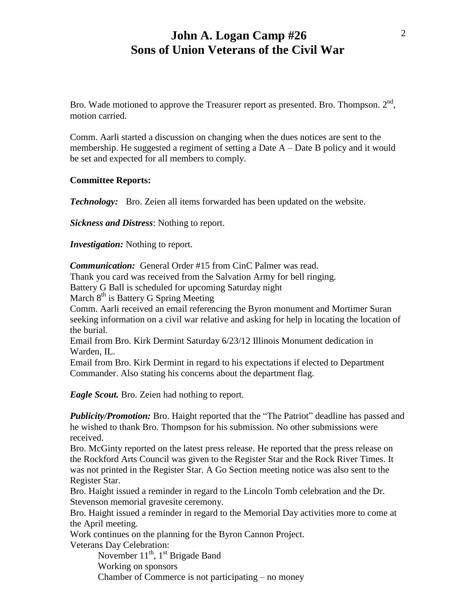Bro. Wade motioned to approve the Treasurer report as presented. Bro. Thompson.  $2<sup>nd</sup>$ , motion carried.

Comm. Aarli started a discussion on changing when the dues notices are sent to the membership. He suggested a regiment of setting a Date A – Date B policy and it would be set and expected for all members to comply.

### **Committee Reports:**

*Technology:* Bro. Zeien all items forwarded has been updated on the website.

*Sickness and Distress*: Nothing to report.

*Investigation:* Nothing to report.

*Communication:* General Order #15 from CinC Palmer was read.

Thank you card was received from the Salvation Army for bell ringing.

Battery G Ball is scheduled for upcoming Saturday night

March 8<sup>th</sup> is Battery G Spring Meeting

Comm. Aarli received an email referencing the Byron monument and Mortimer Suran seeking information on a civil war relative and asking for help in locating the location of the burial.

Email from Bro. Kirk Dermint Saturday 6/23/12 Illinois Monument dedication in Warden, IL.

Email from Bro. Kirk Dermint in regard to his expectations if elected to Department Commander. Also stating his concerns about the department flag.

*Eagle Scout.* Bro. Zeien had nothing to report.

*Publicity/Promotion:* Bro. Haight reported that the "The Patriot" deadline has passed and he wished to thank Bro. Thompson for his submission. No other submissions were received.

Bro. McGinty reported on the latest press release. He reported that the press release on the Rockford Arts Council was given to the Register Star and the Rock River Times. It was not printed in the Register Star. A Go Section meeting notice was also sent to the Register Star.

Bro. Haight issued a reminder in regard to the Lincoln Tomb celebration and the Dr. Stevenson memorial gravesite ceremony.

Bro. Haight issued a reminder in regard to the Memorial Day activities more to come at the April meeting.

Work continues on the planning for the Byron Cannon Project.

Veterans Day Celebration:

November 11<sup>th</sup>, 1<sup>st</sup> Brigade Band

Working on sponsors

Chamber of Commerce is not participating – no money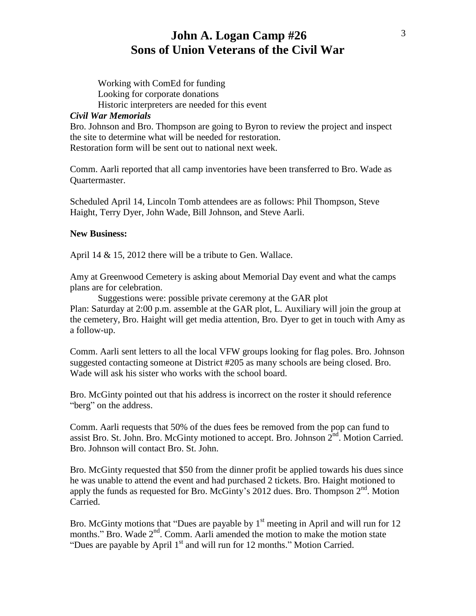Working with ComEd for funding Looking for corporate donations Historic interpreters are needed for this event

#### *Civil War Memorials*

Bro. Johnson and Bro. Thompson are going to Byron to review the project and inspect the site to determine what will be needed for restoration. Restoration form will be sent out to national next week.

Comm. Aarli reported that all camp inventories have been transferred to Bro. Wade as Quartermaster.

Scheduled April 14, Lincoln Tomb attendees are as follows: Phil Thompson, Steve Haight, Terry Dyer, John Wade, Bill Johnson, and Steve Aarli.

#### **New Business:**

April 14 & 15, 2012 there will be a tribute to Gen. Wallace.

Amy at Greenwood Cemetery is asking about Memorial Day event and what the camps plans are for celebration.

Suggestions were: possible private ceremony at the GAR plot Plan: Saturday at 2:00 p.m. assemble at the GAR plot, L. Auxiliary will join the group at the cemetery, Bro. Haight will get media attention, Bro. Dyer to get in touch with Amy as a follow-up.

Comm. Aarli sent letters to all the local VFW groups looking for flag poles. Bro. Johnson suggested contacting someone at District #205 as many schools are being closed. Bro. Wade will ask his sister who works with the school board.

Bro. McGinty pointed out that his address is incorrect on the roster it should reference "berg" on the address.

Comm. Aarli requests that 50% of the dues fees be removed from the pop can fund to assist Bro. St. John. Bro. McGinty motioned to accept. Bro. Johnson  $2<sup>nd</sup>$ . Motion Carried. Bro. Johnson will contact Bro. St. John.

Bro. McGinty requested that \$50 from the dinner profit be applied towards his dues since he was unable to attend the event and had purchased 2 tickets. Bro. Haight motioned to apply the funds as requested for Bro. McGinty's 2012 dues. Bro. Thompson  $2<sup>nd</sup>$ . Motion Carried.

Bro. McGinty motions that "Dues are payable by  $1<sup>st</sup>$  meeting in April and will run for 12 months." Bro. Wade 2<sup>nd</sup>. Comm. Aarli amended the motion to make the motion state "Dues are payable by April  $1<sup>st</sup>$  and will run for 12 months." Motion Carried.